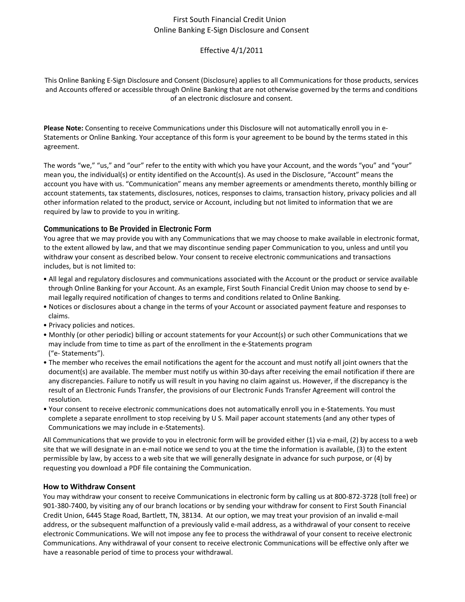# First South Financial Credit Union Online Banking E‐Sign Disclosure and Consent

## Effective 4/1/2011

This Online Banking E‐Sign Disclosure and Consent (Disclosure) applies to all Communications for those products, services and Accounts offered or accessible through Online Banking that are not otherwise governed by the terms and conditions of an electronic disclosure and consent.

**Please Note:** Consenting to receive Communications under this Disclosure will not automatically enroll you in e‐ Statements or Online Banking. Your acceptance of this form is your agreement to be bound by the terms stated in this agreement.

The words "we," "us," and "our" refer to the entity with which you have your Account, and the words "you" and "your" mean you, the individual(s) or entity identified on the Account(s). As used in the Disclosure, "Account" means the account you have with us. "Communication" means any member agreements or amendments thereto, monthly billing or account statements, tax statements, disclosures, notices, responses to claims, transaction history, privacy policies and all other information related to the product, service or Account, including but not limited to information that we are required by law to provide to you in writing.

## **Communications to Be Provided in Electronic Form**

You agree that we may provide you with any Communications that we may choose to make available in electronic format, to the extent allowed by law, and that we may discontinue sending paper Communication to you, unless and until you withdraw your consent as described below. Your consent to receive electronic communications and transactions includes, but is not limited to:

- All legal and regulatory disclosures and communications associated with the Account or the product or service available through Online Banking for your Account. As an example, First South Financial Credit Union may choose to send by e‐ mail legally required notification of changes to terms and conditions related to Online Banking.
- Notices or disclosures about a change in the terms of your Account or associated payment feature and responses to claims.
- Privacy policies and notices.
- Monthly (or other periodic) billing or account statements for your Account(s) or such other Communications that we may include from time to time as part of the enrollment in the e‐Statements program ("e‐ Statements").
- The member who receives the email notifications the agent for the account and must notify all joint owners that the document(s) are available. The member must notify us within 30-days after receiving the email notification if there are any discrepancies. Failure to notify us will result in you having no claim against us. However, if the discrepancy is the result of an Electronic Funds Transfer, the provisions of our Electronic Funds Transfer Agreement will control the resolution.
- Your consent to receive electronic communications does not automatically enroll you in e‐Statements. You must complete a separate enrollment to stop receiving by U S. Mail paper account statements (and any other types of Communications we may include in e‐Statements).

All Communications that we provide to you in electronic form will be provided either (1) via e-mail, (2) by access to a web site that we will designate in an e-mail notice we send to you at the time the information is available, (3) to the extent permissible by law, by access to a web site that we will generally designate in advance for such purpose, or (4) by requesting you download a PDF file containing the Communication.

### **How to Withdraw Consent**

You may withdraw your consent to receive Communications in electronic form by calling us at 800-872-3728 (toll free) or 901-380-7400, by visiting any of our branch locations or by sending your withdraw for consent to First South Financial Credit Union, 6445 Stage Road, Bartlett, TN, 38134. At our option, we may treat your provision of an invalid e‐mail address, or the subsequent malfunction of a previously valid e‐mail address, as a withdrawal of your consent to receive electronic Communications. We will not impose any fee to process the withdrawal of your consent to receive electronic Communications. Any withdrawal of your consent to receive electronic Communications will be effective only after we have a reasonable period of time to process your withdrawal.